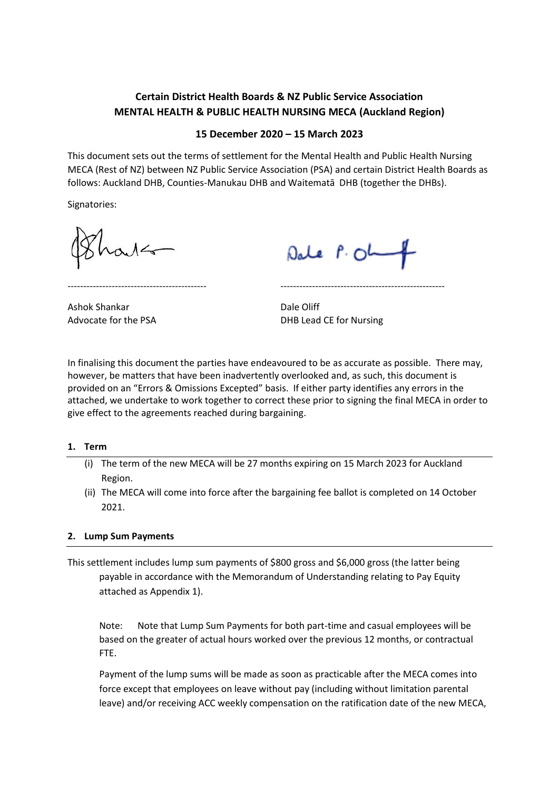# **Certain District Health Boards & NZ Public Service Association MENTAL HEALTH & PUBLIC HEALTH NURSING MECA (Auckland Region)**

## **15 December 2020 – 15 March 2023**

This document sets out the terms of settlement for the Mental Health and Public Health Nursing MECA (Rest of NZ) between NZ Public Service Association (PSA) and certain District Health Boards as follows: Auckland DHB, Counties-Manukau DHB and Waitematā DHB (together the DHBs).

Signatories:

Dale P. Oh

Ashok Shankar **Dale Oliff** 

Advocate for the PSA DHB Lead CE for Nursing

In finalising this document the parties have endeavoured to be as accurate as possible. There may, however, be matters that have been inadvertently overlooked and, as such, this document is provided on an "Errors & Omissions Excepted" basis. If either party identifies any errors in the attached, we undertake to work together to correct these prior to signing the final MECA in order to give effect to the agreements reached during bargaining.

-------------------------------------------- ----------------------------------------------------

#### **1. Term**

- (i) The term of the new MECA will be 27 months expiring on 15 March 2023 for Auckland Region.
- (ii) The MECA will come into force after the bargaining fee ballot is completed on 14 October 2021.

## **2. Lump Sum Payments**

This settlement includes lump sum payments of \$800 gross and \$6,000 gross (the latter being payable in accordance with the Memorandum of Understanding relating to Pay Equity attached as Appendix 1).

Note: Note that Lump Sum Payments for both part-time and casual employees will be based on the greater of actual hours worked over the previous 12 months, or contractual FTE.

Payment of the lump sums will be made as soon as practicable after the MECA comes into force except that employees on leave without pay (including without limitation parental leave) and/or receiving ACC weekly compensation on the ratification date of the new MECA,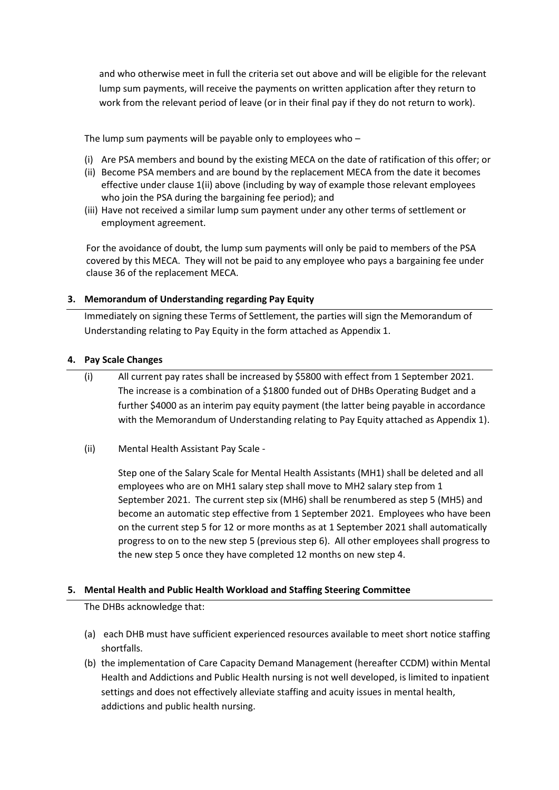and who otherwise meet in full the criteria set out above and will be eligible for the relevant lump sum payments, will receive the payments on written application after they return to work from the relevant period of leave (or in their final pay if they do not return to work).

The lump sum payments will be payable only to employees who –

- (i) Are PSA members and bound by the existing MECA on the date of ratification of this offer; or
- (ii) Become PSA members and are bound by the replacement MECA from the date it becomes effective under clause 1(ii) above (including by way of example those relevant employees who join the PSA during the bargaining fee period); and
- (iii) Have not received a similar lump sum payment under any other terms of settlement or employment agreement.

For the avoidance of doubt, the lump sum payments will only be paid to members of the PSA covered by this MECA. They will not be paid to any employee who pays a bargaining fee under clause 36 of the replacement MECA.

## **3. Memorandum of Understanding regarding Pay Equity**

Immediately on signing these Terms of Settlement, the parties will sign the Memorandum of Understanding relating to Pay Equity in the form attached as Appendix 1.

#### **4. Pay Scale Changes**

- (i) All current pay rates shall be increased by \$5800 with effect from 1 September 2021. The increase is a combination of a \$1800 funded out of DHBs Operating Budget and a further \$4000 as an interim pay equity payment (the latter being payable in accordance with the Memorandum of Understanding relating to Pay Equity attached as Appendix 1).
- (ii) Mental Health Assistant Pay Scale -

Step one of the Salary Scale for Mental Health Assistants (MH1) shall be deleted and all employees who are on MH1 salary step shall move to MH2 salary step from 1 September 2021. The current step six (MH6) shall be renumbered as step 5 (MH5) and become an automatic step effective from 1 September 2021. Employees who have been on the current step 5 for 12 or more months as at 1 September 2021 shall automatically progress to on to the new step 5 (previous step 6). All other employees shall progress to the new step 5 once they have completed 12 months on new step 4.

## **5. Mental Health and Public Health Workload and Staffing Steering Committee**

The DHBs acknowledge that:

- (a) each DHB must have sufficient experienced resources available to meet short notice staffing shortfalls.
- (b) the implementation of Care Capacity Demand Management (hereafter CCDM) within Mental Health and Addictions and Public Health nursing is not well developed, is limited to inpatient settings and does not effectively alleviate staffing and acuity issues in mental health, addictions and public health nursing.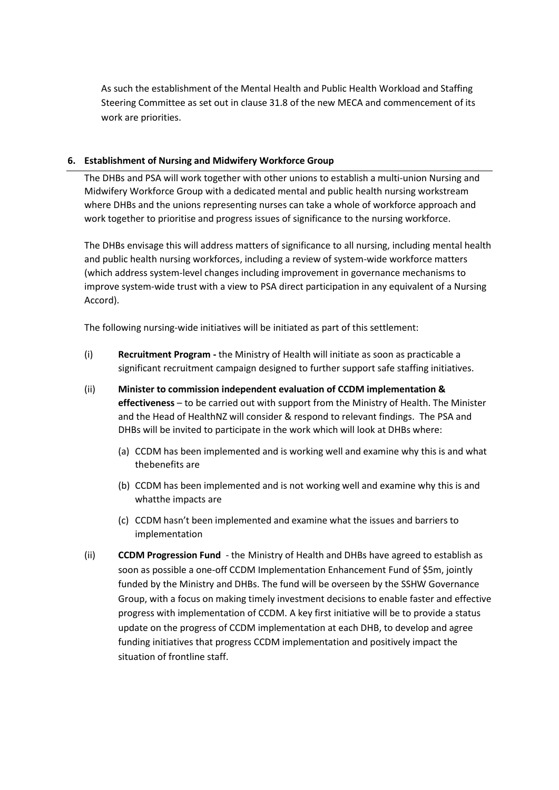As such the establishment of the Mental Health and Public Health Workload and Staffing Steering Committee as set out in clause 31.8 of the new MECA and commencement of its work are priorities.

## **6. Establishment of Nursing and Midwifery Workforce Group**

The DHBs and PSA will work together with other unions to establish a multi-union Nursing and Midwifery Workforce Group with a dedicated mental and public health nursing workstream where DHBs and the unions representing nurses can take a whole of workforce approach and work together to prioritise and progress issues of significance to the nursing workforce.

The DHBs envisage this will address matters of significance to all nursing, including mental health and public health nursing workforces, including a review of system-wide workforce matters (which address system-level changes including improvement in governance mechanisms to improve system-wide trust with a view to PSA direct participation in any equivalent of a Nursing Accord).

The following nursing-wide initiatives will be initiated as part of this settlement:

- (i) **Recruitment Program -** the Ministry of Health will initiate as soon as practicable a significant recruitment campaign designed to further support safe staffing initiatives.
- (ii) **Minister to commission independent evaluation of CCDM implementation & effectiveness** – to be carried out with support from the Ministry of Health. The Minister and the Head of HealthNZ will consider & respond to relevant findings. The PSA and DHBs will be invited to participate in the work which will look at DHBs where:
	- (a) CCDM has been implemented and is working well and examine why this is and what the benefits are
	- (b) CCDM has been implemented and is not working well and examine why this is and whatthe impacts are
	- (c) CCDM hasn't been implemented and examine what the issues and barriers to implementation
- (ii) **CCDM Progression Fund** the Ministry of Health and DHBs have agreed to establish as soon as possible a one-off CCDM Implementation Enhancement Fund of \$5m, jointly funded by the Ministry and DHBs. The fund will be overseen by the SSHW Governance Group, with a focus on making timely investment decisions to enable faster and effective progress with implementation of CCDM. A key first initiative will be to provide a status update on the progress of CCDM implementation at each DHB, to develop and agree funding initiatives that progress CCDM implementation and positively impact the situation of frontline staff.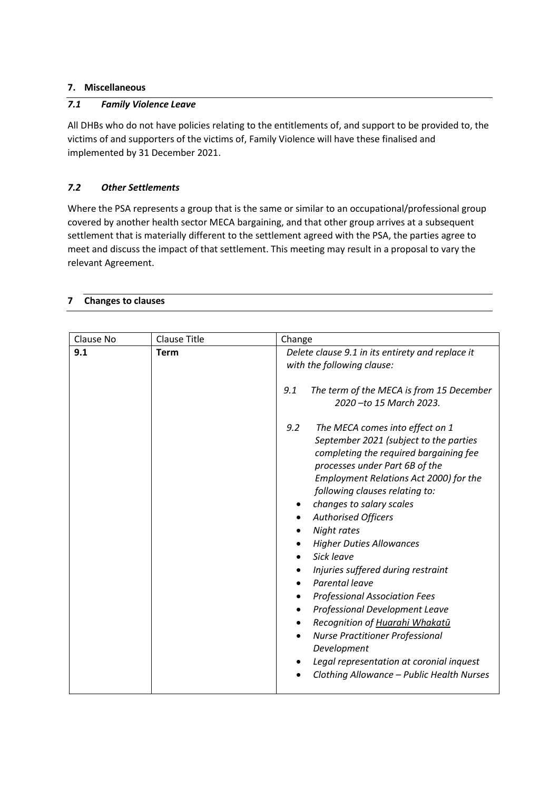## **7. Miscellaneous**

## *7.1 Family Violence Leave*

All DHBs who do not have policies relating to the entitlements of, and support to be provided to, the victims of and supporters of the victims of, Family Violence will have these finalised and implemented by 31 December 2021.

## *7.2 Other Settlements*

Where the PSA represents a group that is the same or similar to an occupational/professional group covered by another health sector MECA bargaining, and that other group arrives at a subsequent settlement that is materially different to the settlement agreed with the PSA, the parties agree to meet and discuss the impact of that settlement. This meeting may result in a proposal to vary the relevant Agreement.

## **7 Changes to clauses**

| Clause No | <b>Clause Title</b> | Change                                                                                                                                                                                                                                                                                                                                                                                                                                                                                                                                                                                                                                                                                   |
|-----------|---------------------|------------------------------------------------------------------------------------------------------------------------------------------------------------------------------------------------------------------------------------------------------------------------------------------------------------------------------------------------------------------------------------------------------------------------------------------------------------------------------------------------------------------------------------------------------------------------------------------------------------------------------------------------------------------------------------------|
| 9.1       | <b>Term</b>         | Delete clause 9.1 in its entirety and replace it<br>with the following clause:                                                                                                                                                                                                                                                                                                                                                                                                                                                                                                                                                                                                           |
|           |                     | 9.1<br>The term of the MECA is from 15 December<br>2020 - to 15 March 2023.                                                                                                                                                                                                                                                                                                                                                                                                                                                                                                                                                                                                              |
|           |                     | 9.2<br>The MECA comes into effect on 1<br>September 2021 (subject to the parties<br>completing the required bargaining fee<br>processes under Part 6B of the<br>Employment Relations Act 2000) for the<br>following clauses relating to:<br>changes to salary scales<br><b>Authorised Officers</b><br>Night rates<br><b>Higher Duties Allowances</b><br>Sick leave<br>Injuries suffered during restraint<br>Parental leave<br><b>Professional Association Fees</b><br>Professional Development Leave<br>Recognition of Huarahi Whakatū<br><b>Nurse Practitioner Professional</b><br>Development<br>Legal representation at coronial inquest<br>Clothing Allowance - Public Health Nurses |
|           |                     |                                                                                                                                                                                                                                                                                                                                                                                                                                                                                                                                                                                                                                                                                          |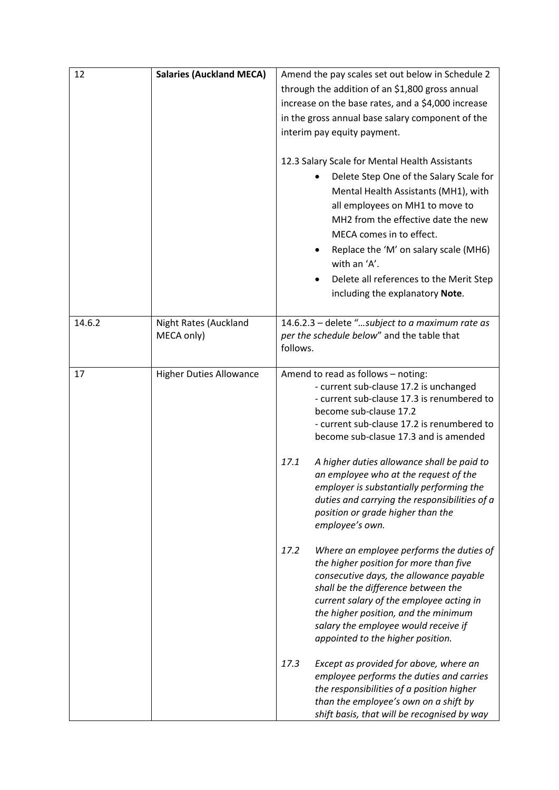| 12     | <b>Salaries (Auckland MECA)</b>     | Amend the pay scales set out below in Schedule 2                                                                                                                                                                                                                                                                                                                                                                                                                                                                                                                                                                                                                                                                                                                                                            |
|--------|-------------------------------------|-------------------------------------------------------------------------------------------------------------------------------------------------------------------------------------------------------------------------------------------------------------------------------------------------------------------------------------------------------------------------------------------------------------------------------------------------------------------------------------------------------------------------------------------------------------------------------------------------------------------------------------------------------------------------------------------------------------------------------------------------------------------------------------------------------------|
|        |                                     | through the addition of an \$1,800 gross annual                                                                                                                                                                                                                                                                                                                                                                                                                                                                                                                                                                                                                                                                                                                                                             |
|        |                                     | increase on the base rates, and a \$4,000 increase                                                                                                                                                                                                                                                                                                                                                                                                                                                                                                                                                                                                                                                                                                                                                          |
|        |                                     | in the gross annual base salary component of the                                                                                                                                                                                                                                                                                                                                                                                                                                                                                                                                                                                                                                                                                                                                                            |
|        |                                     | interim pay equity payment.                                                                                                                                                                                                                                                                                                                                                                                                                                                                                                                                                                                                                                                                                                                                                                                 |
|        |                                     | 12.3 Salary Scale for Mental Health Assistants<br>Delete Step One of the Salary Scale for<br>Mental Health Assistants (MH1), with                                                                                                                                                                                                                                                                                                                                                                                                                                                                                                                                                                                                                                                                           |
|        |                                     | all employees on MH1 to move to<br>MH2 from the effective date the new                                                                                                                                                                                                                                                                                                                                                                                                                                                                                                                                                                                                                                                                                                                                      |
|        |                                     | MECA comes in to effect.                                                                                                                                                                                                                                                                                                                                                                                                                                                                                                                                                                                                                                                                                                                                                                                    |
|        |                                     | Replace the 'M' on salary scale (MH6)<br>٠<br>with an 'A'.                                                                                                                                                                                                                                                                                                                                                                                                                                                                                                                                                                                                                                                                                                                                                  |
|        |                                     | Delete all references to the Merit Step                                                                                                                                                                                                                                                                                                                                                                                                                                                                                                                                                                                                                                                                                                                                                                     |
|        |                                     | including the explanatory Note.                                                                                                                                                                                                                                                                                                                                                                                                                                                                                                                                                                                                                                                                                                                                                                             |
|        |                                     |                                                                                                                                                                                                                                                                                                                                                                                                                                                                                                                                                                                                                                                                                                                                                                                                             |
| 14.6.2 | Night Rates (Auckland<br>MECA only) | 14.6.2.3 - delete "subject to a maximum rate as<br>per the schedule below" and the table that<br>follows.                                                                                                                                                                                                                                                                                                                                                                                                                                                                                                                                                                                                                                                                                                   |
| 17     | <b>Higher Duties Allowance</b>      | Amend to read as follows - noting:<br>- current sub-clause 17.2 is unchanged<br>- current sub-clause 17.3 is renumbered to<br>become sub-clause 17.2<br>- current sub-clause 17.2 is renumbered to<br>become sub-clasue 17.3 and is amended<br>17.1<br>A higher duties allowance shall be paid to<br>an employee who at the request of the<br>employer is substantially performing the<br>duties and carrying the responsibilities of a<br>position or grade higher than the<br>employee's own.<br>17.2<br>Where an employee performs the duties of<br>the higher position for more than five<br>consecutive days, the allowance payable<br>shall be the difference between the<br>current salary of the employee acting in<br>the higher position, and the minimum<br>salary the employee would receive if |
|        |                                     | appointed to the higher position.<br>17.3<br>Except as provided for above, where an<br>employee performs the duties and carries<br>the responsibilities of a position higher<br>than the employee's own on a shift by<br>shift basis, that will be recognised by way                                                                                                                                                                                                                                                                                                                                                                                                                                                                                                                                        |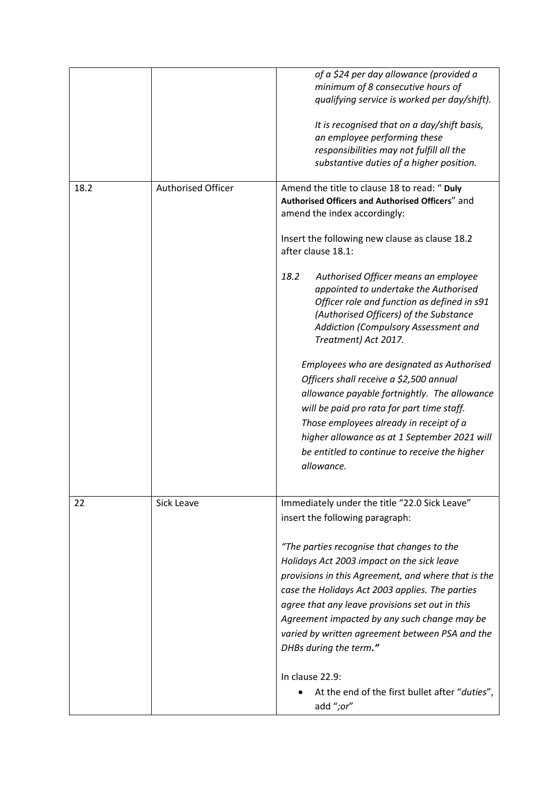|      |                           | of a \$24 per day allowance (provided a<br>minimum of 8 consecutive hours of<br>qualifying service is worked per day/shift).                                                                                                                                                                                                                                                       |
|------|---------------------------|------------------------------------------------------------------------------------------------------------------------------------------------------------------------------------------------------------------------------------------------------------------------------------------------------------------------------------------------------------------------------------|
|      |                           | It is recognised that on a day/shift basis,<br>an employee performing these<br>responsibilities may not fulfill all the<br>substantive duties of a higher position.                                                                                                                                                                                                                |
| 18.2 | <b>Authorised Officer</b> | Amend the title to clause 18 to read: " Duly<br>Authorised Officers and Authorised Officers" and<br>amend the index accordingly:                                                                                                                                                                                                                                                   |
|      |                           | Insert the following new clause as clause 18.2<br>after clause 18.1:                                                                                                                                                                                                                                                                                                               |
|      |                           | Authorised Officer means an employee<br>18.2<br>appointed to undertake the Authorised<br>Officer role and function as defined in s91<br>(Authorised Officers) of the Substance<br>Addiction (Compulsory Assessment and<br>Treatment) Act 2017.                                                                                                                                     |
|      |                           | Employees who are designated as Authorised<br>Officers shall receive a \$2,500 annual<br>allowance payable fortnightly. The allowance<br>will be paid pro rata for part time staff.<br>Those employees already in receipt of a<br>higher allowance as at 1 September 2021 will<br>be entitled to continue to receive the higher<br>allowance.                                      |
| 22   | Sick Leave                | Immediately under the title "22.0 Sick Leave"<br>insert the following paragraph:                                                                                                                                                                                                                                                                                                   |
|      |                           | "The parties recognise that changes to the<br>Holidays Act 2003 impact on the sick leave<br>provisions in this Agreement, and where that is the<br>case the Holidays Act 2003 applies. The parties<br>agree that any leave provisions set out in this<br>Agreement impacted by any such change may be<br>varied by written agreement between PSA and the<br>DHBs during the term." |
|      |                           | In clause 22.9:<br>At the end of the first bullet after "duties",<br>add ";or"                                                                                                                                                                                                                                                                                                     |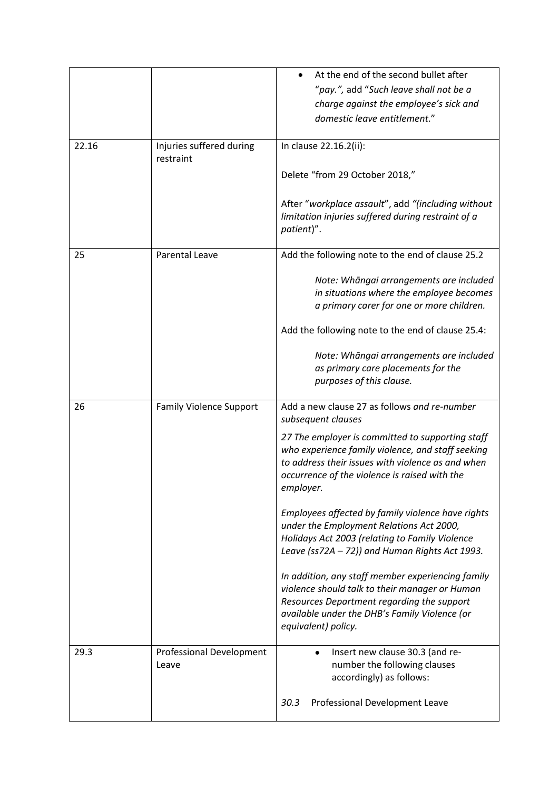|       |                                       | At the end of the second bullet after                                                                                                                                                                                     |
|-------|---------------------------------------|---------------------------------------------------------------------------------------------------------------------------------------------------------------------------------------------------------------------------|
|       |                                       | "pay.", add "Such leave shall not be a                                                                                                                                                                                    |
|       |                                       | charge against the employee's sick and                                                                                                                                                                                    |
|       |                                       | domestic leave entitlement."                                                                                                                                                                                              |
|       |                                       |                                                                                                                                                                                                                           |
| 22.16 | Injuries suffered during<br>restraint | In clause 22.16.2(ii):                                                                                                                                                                                                    |
|       |                                       | Delete "from 29 October 2018,"                                                                                                                                                                                            |
|       |                                       | After "workplace assault", add "(including without<br>limitation injuries suffered during restraint of a<br>patient)".                                                                                                    |
| 25    | <b>Parental Leave</b>                 | Add the following note to the end of clause 25.2                                                                                                                                                                          |
|       |                                       | Note: Whāngai arrangements are included<br>in situations where the employee becomes<br>a primary carer for one or more children.                                                                                          |
|       |                                       | Add the following note to the end of clause 25.4:                                                                                                                                                                         |
|       |                                       | Note: Whāngai arrangements are included<br>as primary care placements for the<br>purposes of this clause.                                                                                                                 |
| 26    | <b>Family Violence Support</b>        | Add a new clause 27 as follows and re-number<br>subsequent clauses                                                                                                                                                        |
|       |                                       | 27 The employer is committed to supporting staff<br>who experience family violence, and staff seeking<br>to address their issues with violence as and when<br>occurrence of the violence is raised with the<br>employer.  |
|       |                                       | Employees affected by family violence have rights<br>under the Employment Relations Act 2000,<br>Holidays Act 2003 (relating to Family Violence<br>Leave (ss72A - 72)) and Human Rights Act 1993.                         |
|       |                                       | In addition, any staff member experiencing family<br>violence should talk to their manager or Human<br>Resources Department regarding the support<br>available under the DHB's Family Violence (or<br>equivalent) policy. |
| 29.3  | Professional Development<br>Leave     | Insert new clause 30.3 (and re-<br>number the following clauses                                                                                                                                                           |
|       |                                       | accordingly) as follows:                                                                                                                                                                                                  |
|       |                                       | 30.3<br>Professional Development Leave                                                                                                                                                                                    |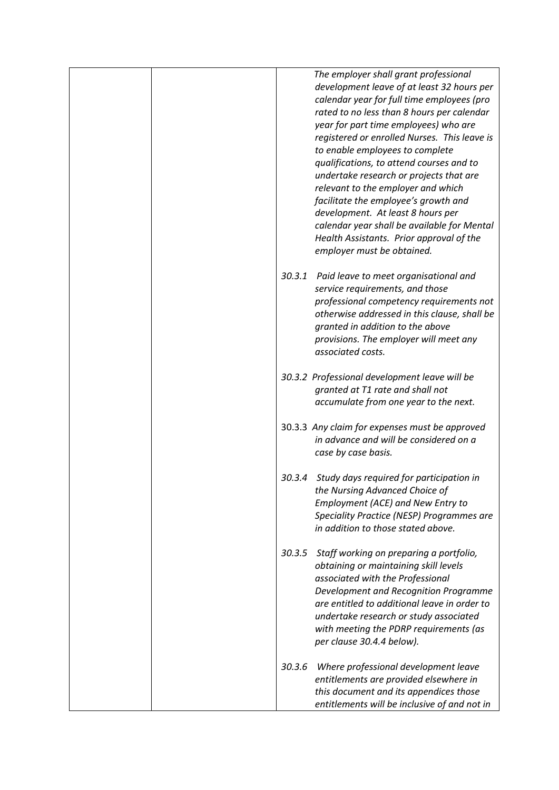|        | The employer shall grant professional<br>development leave of at least 32 hours per<br>calendar year for full time employees (pro<br>rated to no less than 8 hours per calendar<br>year for part time employees) who are<br>registered or enrolled Nurses. This leave is<br>to enable employees to complete<br>qualifications, to attend courses and to<br>undertake research or projects that are<br>relevant to the employer and which<br>facilitate the employee's growth and<br>development. At least 8 hours per<br>calendar year shall be available for Mental<br>Health Assistants. Prior approval of the<br>employer must be obtained. |
|--------|------------------------------------------------------------------------------------------------------------------------------------------------------------------------------------------------------------------------------------------------------------------------------------------------------------------------------------------------------------------------------------------------------------------------------------------------------------------------------------------------------------------------------------------------------------------------------------------------------------------------------------------------|
| 30.3.1 | Paid leave to meet organisational and<br>service requirements, and those<br>professional competency requirements not<br>otherwise addressed in this clause, shall be<br>granted in addition to the above<br>provisions. The employer will meet any<br>associated costs.                                                                                                                                                                                                                                                                                                                                                                        |
|        | 30.3.2 Professional development leave will be<br>granted at T1 rate and shall not<br>accumulate from one year to the next.                                                                                                                                                                                                                                                                                                                                                                                                                                                                                                                     |
|        | 30.3.3 Any claim for expenses must be approved<br>in advance and will be considered on a<br>case by case basis.                                                                                                                                                                                                                                                                                                                                                                                                                                                                                                                                |
| 30.3.4 | Study days required for participation in<br>the Nursing Advanced Choice of<br>Employment (ACE) and New Entry to<br>Speciality Practice (NESP) Programmes are<br>in addition to those stated above.                                                                                                                                                                                                                                                                                                                                                                                                                                             |
| 30.3.5 | Staff working on preparing a portfolio,<br>obtaining or maintaining skill levels<br>associated with the Professional<br>Development and Recognition Programme<br>are entitled to additional leave in order to<br>undertake research or study associated<br>with meeting the PDRP requirements (as<br>per clause 30.4.4 below).                                                                                                                                                                                                                                                                                                                 |
| 30.3.6 | Where professional development leave<br>entitlements are provided elsewhere in<br>this document and its appendices those<br>entitlements will be inclusive of and not in                                                                                                                                                                                                                                                                                                                                                                                                                                                                       |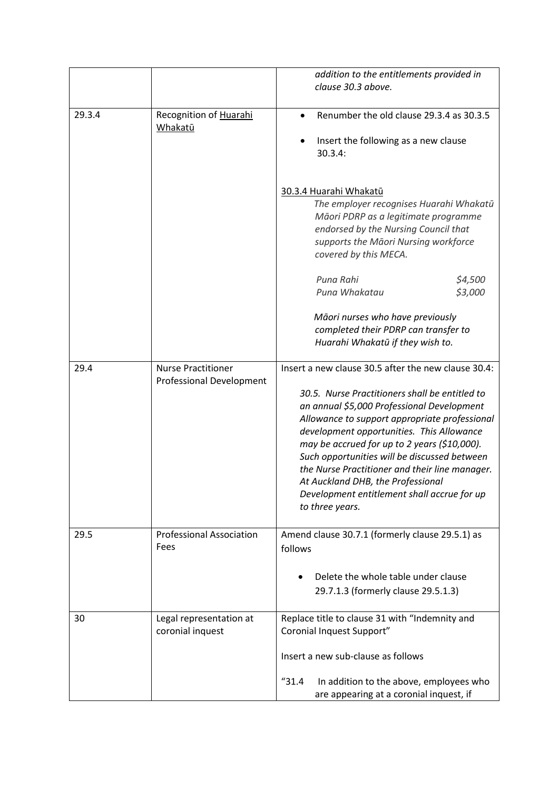|        |                                                                                                                                               | addition to the entitlements provided in<br>clause 30.3 above.                                                                                                                                                                                                                                                                                                                                                                                                                                             |
|--------|-----------------------------------------------------------------------------------------------------------------------------------------------|------------------------------------------------------------------------------------------------------------------------------------------------------------------------------------------------------------------------------------------------------------------------------------------------------------------------------------------------------------------------------------------------------------------------------------------------------------------------------------------------------------|
| 29.3.4 | Recognition of Huarahi<br>Renumber the old clause 29.3.4 as 30.3.5<br>$\bullet$<br>Whakatū<br>Insert the following as a new clause<br>30.3.4: |                                                                                                                                                                                                                                                                                                                                                                                                                                                                                                            |
|        |                                                                                                                                               | 30.3.4 Huarahi Whakatū<br>The employer recognises Huarahi Whakatū<br>Māori PDRP as a legitimate programme<br>endorsed by the Nursing Council that<br>supports the Māori Nursing workforce<br>covered by this MECA.                                                                                                                                                                                                                                                                                         |
|        |                                                                                                                                               | Puna Rahi<br>\$4,500<br>\$3,000<br>Puna Whakatau                                                                                                                                                                                                                                                                                                                                                                                                                                                           |
|        |                                                                                                                                               | Māori nurses who have previously<br>completed their PDRP can transfer to<br>Huarahi Whakatū if they wish to.                                                                                                                                                                                                                                                                                                                                                                                               |
| 29.4   | <b>Nurse Practitioner</b><br><b>Professional Development</b>                                                                                  | Insert a new clause 30.5 after the new clause 30.4:<br>30.5. Nurse Practitioners shall be entitled to<br>an annual \$5,000 Professional Development<br>Allowance to support appropriate professional<br>development opportunities. This Allowance<br>may be accrued for up to 2 years (\$10,000).<br>Such opportunities will be discussed between<br>the Nurse Practitioner and their line manager.<br>At Auckland DHB, the Professional<br>Development entitlement shall accrue for up<br>to three years. |
| 29.5   | <b>Professional Association</b><br>Fees                                                                                                       | Amend clause 30.7.1 (formerly clause 29.5.1) as<br>follows<br>Delete the whole table under clause<br>29.7.1.3 (formerly clause 29.5.1.3)                                                                                                                                                                                                                                                                                                                                                                   |
| 30     | Legal representation at<br>coronial inquest                                                                                                   | Replace title to clause 31 with "Indemnity and<br>Coronial Inquest Support"                                                                                                                                                                                                                                                                                                                                                                                                                                |
|        |                                                                                                                                               | Insert a new sub-clause as follows<br>"31.4"<br>In addition to the above, employees who                                                                                                                                                                                                                                                                                                                                                                                                                    |
|        |                                                                                                                                               | are appearing at a coronial inquest, if                                                                                                                                                                                                                                                                                                                                                                                                                                                                    |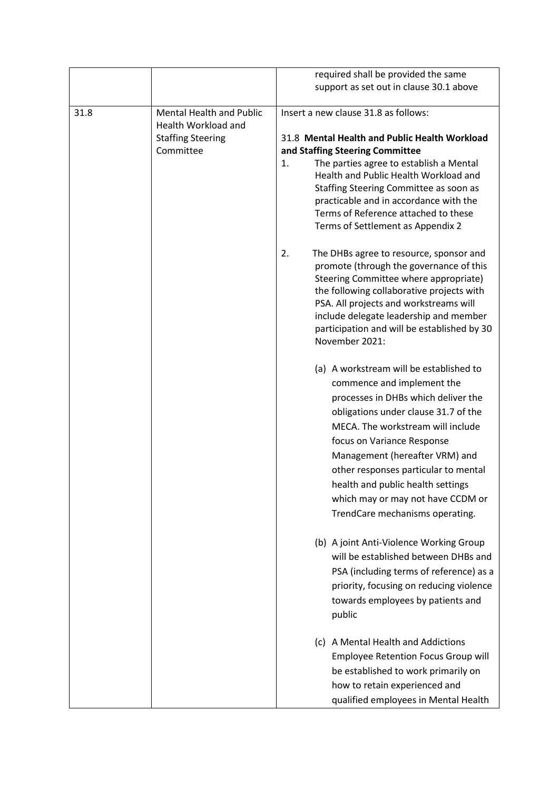|      |                                 | required shall be provided the same                           |
|------|---------------------------------|---------------------------------------------------------------|
|      |                                 | support as set out in clause 30.1 above                       |
|      |                                 |                                                               |
| 31.8 | <b>Mental Health and Public</b> | Insert a new clause 31.8 as follows:                          |
|      | Health Workload and             |                                                               |
|      | <b>Staffing Steering</b>        | 31.8 Mental Health and Public Health Workload                 |
|      | Committee                       | and Staffing Steering Committee                               |
|      |                                 | The parties agree to establish a Mental<br>1.                 |
|      |                                 | Health and Public Health Workload and                         |
|      |                                 | Staffing Steering Committee as soon as                        |
|      |                                 | practicable and in accordance with the                        |
|      |                                 | Terms of Reference attached to these                          |
|      |                                 | Terms of Settlement as Appendix 2                             |
|      |                                 | 2.<br>The DHBs agree to resource, sponsor and                 |
|      |                                 | promote (through the governance of this                       |
|      |                                 | Steering Committee where appropriate)                         |
|      |                                 | the following collaborative projects with                     |
|      |                                 | PSA. All projects and workstreams will                        |
|      |                                 | include delegate leadership and member                        |
|      |                                 | participation and will be established by 30<br>November 2021: |
|      |                                 |                                                               |
|      |                                 | (a) A workstream will be established to                       |
|      |                                 | commence and implement the                                    |
|      |                                 | processes in DHBs which deliver the                           |
|      |                                 | obligations under clause 31.7 of the                          |
|      |                                 | MECA. The workstream will include                             |
|      |                                 | focus on Variance Response                                    |
|      |                                 | Management (hereafter VRM) and                                |
|      |                                 | other responses particular to mental                          |
|      |                                 | health and public health settings                             |
|      |                                 |                                                               |
|      |                                 | which may or may not have CCDM or                             |
|      |                                 | TrendCare mechanisms operating.                               |
|      |                                 | (b) A joint Anti-Violence Working Group                       |
|      |                                 | will be established between DHBs and                          |
|      |                                 | PSA (including terms of reference) as a                       |
|      |                                 | priority, focusing on reducing violence                       |
|      |                                 | towards employees by patients and                             |
|      |                                 | public                                                        |
|      |                                 |                                                               |
|      |                                 | (c) A Mental Health and Addictions                            |
|      |                                 | <b>Employee Retention Focus Group will</b>                    |
|      |                                 | be established to work primarily on                           |
|      |                                 | how to retain experienced and                                 |
|      |                                 | qualified employees in Mental Health                          |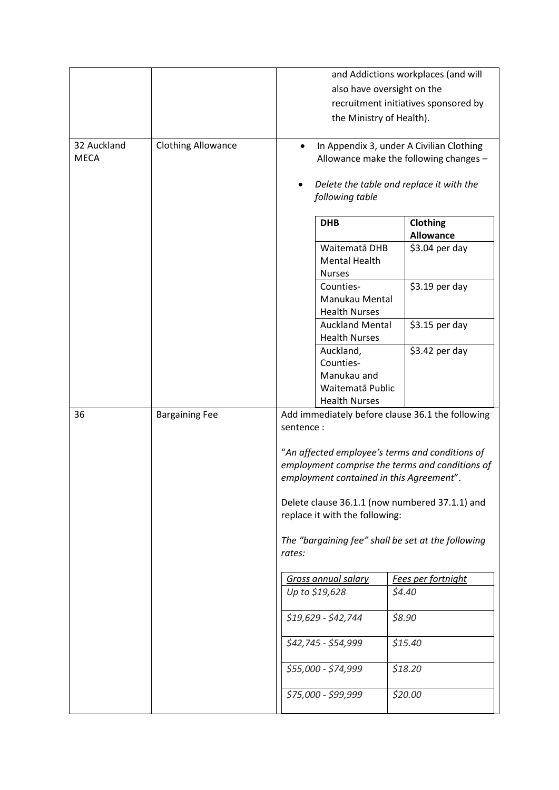|                            |                           |                                                                                                 |                                          | and Addictions workplaces (and will              |  |  |
|----------------------------|---------------------------|-------------------------------------------------------------------------------------------------|------------------------------------------|--------------------------------------------------|--|--|
|                            |                           | also have oversight on the                                                                      |                                          |                                                  |  |  |
|                            |                           | recruitment initiatives sponsored by                                                            |                                          |                                                  |  |  |
|                            |                           | the Ministry of Health).                                                                        |                                          |                                                  |  |  |
|                            |                           |                                                                                                 |                                          |                                                  |  |  |
| 32 Auckland<br><b>MECA</b> | <b>Clothing Allowance</b> | In Appendix 3, under A Civilian Clothing<br>$\bullet$<br>Allowance make the following changes - |                                          |                                                  |  |  |
|                            |                           |                                                                                                 |                                          |                                                  |  |  |
|                            |                           | Delete the table and replace it with the<br>following table                                     |                                          |                                                  |  |  |
|                            |                           |                                                                                                 | <b>DHB</b>                               | Clothing                                         |  |  |
|                            |                           |                                                                                                 |                                          | <b>Allowance</b>                                 |  |  |
|                            |                           |                                                                                                 | Waitematā DHB                            | $$3.04$ per day                                  |  |  |
|                            |                           |                                                                                                 | <b>Mental Health</b>                     |                                                  |  |  |
|                            |                           |                                                                                                 | <b>Nurses</b><br>Counties-               | $$3.19$ per day                                  |  |  |
|                            |                           |                                                                                                 | Manukau Mental                           |                                                  |  |  |
|                            |                           |                                                                                                 | <b>Health Nurses</b>                     |                                                  |  |  |
|                            |                           |                                                                                                 | <b>Auckland Mental</b>                   | $$3.15$ per day                                  |  |  |
|                            |                           |                                                                                                 | <b>Health Nurses</b>                     |                                                  |  |  |
|                            |                           |                                                                                                 | Auckland,                                | \$3.42 per day                                   |  |  |
|                            |                           |                                                                                                 | Counties-                                |                                                  |  |  |
|                            |                           |                                                                                                 | Manukau and                              |                                                  |  |  |
|                            |                           |                                                                                                 | Waitematā Public<br><b>Health Nurses</b> |                                                  |  |  |
| 36                         | <b>Bargaining Fee</b>     |                                                                                                 |                                          | Add immediately before clause 36.1 the following |  |  |
|                            |                           | sentence:                                                                                       |                                          |                                                  |  |  |
|                            |                           | "An affected employee's terms and conditions of                                                 |                                          |                                                  |  |  |
|                            |                           | employment comprise the terms and conditions of<br>employment contained in this Agreement".     |                                          |                                                  |  |  |
|                            |                           |                                                                                                 |                                          |                                                  |  |  |
|                            |                           |                                                                                                 |                                          | Delete clause 36.1.1 (now numbered 37.1.1) and   |  |  |
|                            |                           |                                                                                                 | replace it with the following:           |                                                  |  |  |
|                            |                           | The "bargaining fee" shall be set at the following<br>rates:                                    |                                          |                                                  |  |  |
|                            |                           |                                                                                                 |                                          |                                                  |  |  |
|                            |                           |                                                                                                 | <b>Gross annual salary</b>               | Fees per fortnight                               |  |  |
|                            |                           |                                                                                                 | Up to \$19,628                           | \$4.40                                           |  |  |
|                            |                           |                                                                                                 | \$19,629 - \$42,744                      | \$8.90                                           |  |  |
|                            |                           |                                                                                                 | \$42,745 - \$54,999                      | \$15.40                                          |  |  |
|                            |                           |                                                                                                 | \$55,000 - \$74,999                      | \$18.20                                          |  |  |
|                            |                           |                                                                                                 | $$75,000 - $99,999$                      | \$20.00                                          |  |  |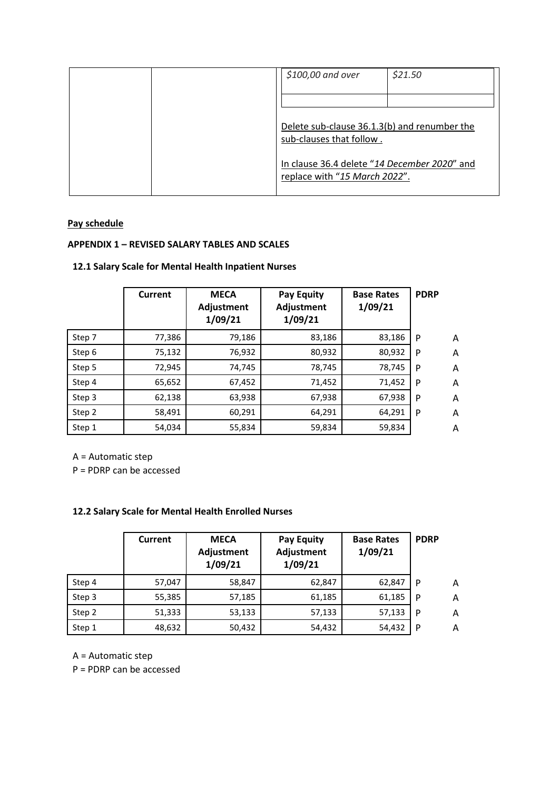| \$100,00 and over                                                             | \$21.50 |
|-------------------------------------------------------------------------------|---------|
|                                                                               |         |
| Delete sub-clause 36.1.3(b) and renumber the<br>sub-clauses that follow.      |         |
| In clause 36.4 delete "14 December 2020" and<br>replace with "15 March 2022". |         |

# **Pay schedule**

## **APPENDIX 1 – REVISED SALARY TABLES AND SCALES**

## **12.1 Salary Scale for Mental Health Inpatient Nurses**

|        | Current | <b>MECA</b><br>Adjustment<br>1/09/21 | <b>Pay Equity</b><br>Adjustment<br>1/09/21 | <b>Base Rates</b><br>1/09/21 | <b>PDRP</b> |   |
|--------|---------|--------------------------------------|--------------------------------------------|------------------------------|-------------|---|
| Step 7 | 77,386  | 79,186                               | 83,186                                     | 83,186                       | P           | A |
| Step 6 | 75,132  | 76,932                               | 80,932                                     | 80,932                       | P           | A |
| Step 5 | 72,945  | 74,745                               | 78,745                                     | 78,745                       | P           | A |
| Step 4 | 65,652  | 67,452                               | 71,452                                     | 71,452                       | P           | A |
| Step 3 | 62,138  | 63,938                               | 67,938                                     | 67,938                       | P           | A |
| Step 2 | 58,491  | 60,291                               | 64,291                                     | 64,291                       | P           | A |
| Step 1 | 54,034  | 55,834                               | 59,834                                     | 59,834                       |             | A |

A = Automatic step

P = PDRP can be accessed

## **12.2 Salary Scale for Mental Health Enrolled Nurses**

|        | <b>Current</b> | <b>MECA</b><br>Adjustment<br>1/09/21 | <b>Pay Equity</b><br><b>Adjustment</b><br>1/09/21 | <b>Base Rates</b><br>1/09/21 | <b>PDRP</b> |   |
|--------|----------------|--------------------------------------|---------------------------------------------------|------------------------------|-------------|---|
| Step 4 | 57,047         | 58,847                               | 62,847                                            | 62,847                       | P           | A |
| Step 3 | 55,385         | 57,185                               | 61,185                                            | 61,185                       | P           | A |
| Step 2 | 51,333         | 53,133                               | 57,133                                            | 57,133                       | P           | A |
| Step 1 | 48,632         | 50,432                               | 54,432                                            | 54,432                       | P           | A |

A = Automatic step

P = PDRP can be accessed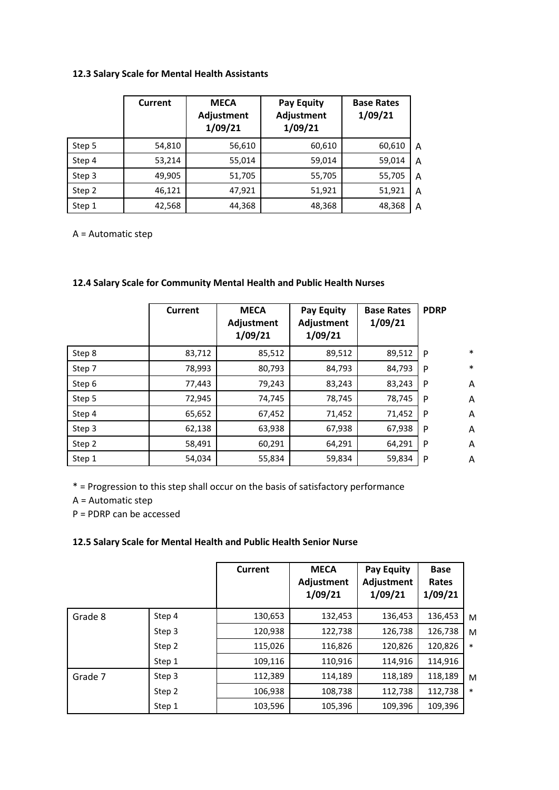## **12.3 Salary Scale for Mental Health Assistants**

|        | Current | <b>MECA</b><br>Adjustment<br>1/09/21 | <b>Pay Equity</b><br>Adjustment<br>1/09/21 | <b>Base Rates</b><br>1/09/21 |   |
|--------|---------|--------------------------------------|--------------------------------------------|------------------------------|---|
| Step 5 | 54,810  | 56,610                               | 60,610                                     | 60,610                       | A |
| Step 4 | 53,214  | 55,014                               | 59,014                                     | 59,014                       | A |
| Step 3 | 49,905  | 51,705                               | 55,705                                     | 55,705                       | A |
| Step 2 | 46,121  | 47,921                               | 51,921                                     | 51,921                       | A |
| Step 1 | 42,568  | 44,368                               | 48,368                                     | 48,368                       | A |

A = Automatic step

|        | Current | <b>MECA</b><br>Adjustment<br>1/09/21 | <b>Pay Equity</b><br>Adjustment<br>1/09/21 | <b>Base Rates</b><br>1/09/21 | <b>PDRP</b> |        |
|--------|---------|--------------------------------------|--------------------------------------------|------------------------------|-------------|--------|
| Step 8 | 83,712  | 85,512                               | 89,512                                     | 89,512                       | P           | $\ast$ |
| Step 7 | 78,993  | 80,793                               | 84,793                                     | 84,793                       | P           | $\ast$ |
| Step 6 | 77,443  | 79,243                               | 83,243                                     | 83,243                       | P           | A      |
| Step 5 | 72,945  | 74,745                               | 78,745                                     | 78,745                       | P           | A      |
| Step 4 | 65,652  | 67,452                               | 71,452                                     | 71,452                       | P           | A      |
| Step 3 | 62,138  | 63,938                               | 67,938                                     | 67,938                       | P           | A      |
| Step 2 | 58,491  | 60,291                               | 64,291                                     | 64,291                       | P           | A      |
| Step 1 | 54,034  | 55,834                               | 59,834                                     | 59,834                       | P           | A      |

## **12.4 Salary Scale for Community Mental Health and Public Health Nurses**

\* = Progression to this step shall occur on the basis of satisfactory performance

A = Automatic step

P = PDRP can be accessed

## **12.5 Salary Scale for Mental Health and Public Health Senior Nurse**

|         |        | <b>Current</b> | <b>MECA</b><br>Adjustment<br>1/09/21 | Pay Equity<br>Adjustment<br>1/09/21 | <b>Base</b><br>Rates<br>1/09/21 |        |
|---------|--------|----------------|--------------------------------------|-------------------------------------|---------------------------------|--------|
| Grade 8 | Step 4 | 130,653        | 132,453                              | 136,453                             | 136,453                         | M      |
|         | Step 3 | 120,938        | 122,738                              | 126,738                             | 126,738                         | M      |
|         | Step 2 | 115,026        | 116,826                              | 120,826                             | 120,826                         | $\ast$ |
|         | Step 1 | 109,116        | 110,916                              | 114,916                             | 114,916                         |        |
| Grade 7 | Step 3 | 112,389        | 114,189                              | 118,189                             | 118,189                         | M      |
|         | Step 2 | 106,938        | 108,738                              | 112,738                             | 112,738                         | $\ast$ |
|         | Step 1 | 103,596        | 105,396                              | 109,396                             | 109,396                         |        |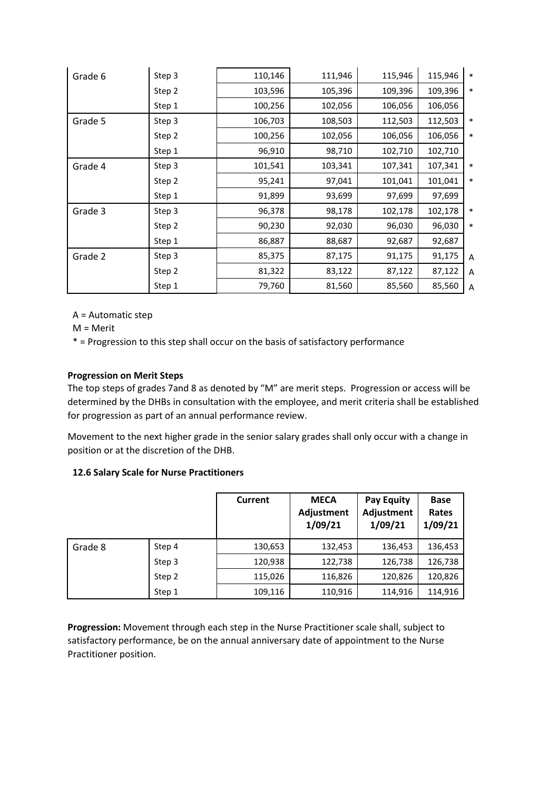| Grade 6 | Step 3 | 110,146 | 111,946 | 115,946 | 115,946 | $\ast$ |
|---------|--------|---------|---------|---------|---------|--------|
|         | Step 2 | 103,596 | 105,396 | 109,396 | 109,396 | $\ast$ |
|         | Step 1 | 100,256 | 102,056 | 106,056 | 106,056 |        |
| Grade 5 | Step 3 | 106,703 | 108,503 | 112,503 | 112,503 | ∗      |
|         | Step 2 | 100,256 | 102,056 | 106,056 | 106,056 | *      |
|         | Step 1 | 96,910  | 98,710  | 102,710 | 102,710 |        |
| Grade 4 | Step 3 | 101,541 | 103,341 | 107,341 | 107,341 | *      |
|         | Step 2 | 95,241  | 97,041  | 101,041 | 101,041 | $\ast$ |
|         | Step 1 | 91,899  | 93,699  | 97,699  | 97,699  |        |
| Grade 3 | Step 3 | 96,378  | 98,178  | 102,178 | 102,178 | $\ast$ |
|         | Step 2 | 90,230  | 92,030  | 96,030  | 96,030  | $\ast$ |
|         | Step 1 | 86,887  | 88,687  | 92,687  | 92,687  |        |
| Grade 2 | Step 3 | 85,375  | 87,175  | 91,175  | 91,175  | A      |
|         | Step 2 | 81,322  | 83,122  | 87,122  | 87,122  | Α      |
|         | Step 1 | 79,760  | 81,560  | 85,560  | 85,560  | Α      |

A = Automatic step

M = Merit

\* = Progression to this step shall occur on the basis of satisfactory performance

## **Progression on Merit Steps**

The top steps of grades 7and 8 as denoted by "M" are merit steps. Progression or access will be determined by the DHBs in consultation with the employee, and merit criteria shall be established for progression as part of an annual performance review.

Movement to the next higher grade in the senior salary grades shall only occur with a change in position or at the discretion of the DHB.

#### **12.6 Salary Scale for Nurse Practitioners**

|         |        | <b>Current</b> | <b>MECA</b><br>Adjustment<br>1/09/21 | <b>Pay Equity</b><br><b>Adjustment</b><br>1/09/21 | <b>Base</b><br>Rates<br>1/09/21 |
|---------|--------|----------------|--------------------------------------|---------------------------------------------------|---------------------------------|
| Grade 8 | Step 4 | 130,653        | 132,453                              | 136,453                                           | 136,453                         |
|         | Step 3 | 120,938        | 122,738                              | 126,738                                           | 126,738                         |
|         | Step 2 | 115,026        | 116,826                              | 120,826                                           | 120,826                         |
|         | Step 1 | 109,116        | 110,916                              | 114,916                                           | 114,916                         |

**Progression:** Movement through each step in the Nurse Practitioner scale shall, subject to satisfactory performance, be on the annual anniversary date of appointment to the Nurse Practitioner position.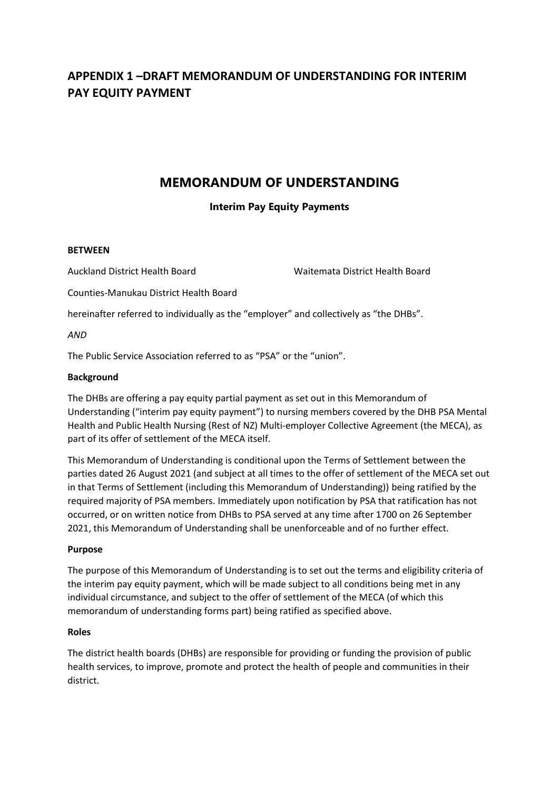# **APPENDIX 1 –DRAFT MEMORANDUM OF UNDERSTANDING FOR INTERIM PAY EQUITY PAYMENT**

# **MEMORANDUM OF UNDERSTANDING**

# **Interim Pay Equity Payments**

## **BETWEEN**

Auckland District Health Board Waitemata District Health Board

Counties-Manukau District Health Board

hereinafter referred to individually as the "employer" and collectively as "the DHBs".

*AND*

The Public Service Association referred to as "PSA" or the "union".

## **Background**

The DHBs are offering a pay equity partial payment as set out in this Memorandum of Understanding ("interim pay equity payment") to nursing members covered by the DHB PSA Mental Health and Public Health Nursing (Rest of NZ) Multi-employer Collective Agreement (the MECA), as part of its offer of settlement of the MECA itself.

This Memorandum of Understanding is conditional upon the Terms of Settlement between the parties dated 26 August 2021 (and subject at all times to the offer of settlement of the MECA set out in that Terms of Settlement (including this Memorandum of Understanding)) being ratified by the required majority of PSA members. Immediately upon notification by PSA that ratification has not occurred, or on written notice from DHBs to PSA served at any time after 1700 on 26 September 2021, this Memorandum of Understanding shall be unenforceable and of no further effect.

## **Purpose**

The purpose of this Memorandum of Understanding is to set out the terms and eligibility criteria of the interim pay equity payment, which will be made subject to all conditions being met in any individual circumstance, and subject to the offer of settlement of the MECA (of which this memorandum of understanding forms part) being ratified as specified above.

## **Roles**

The district health boards (DHBs) are responsible for providing or funding the provision of public health services, to improve, promote and protect the health of people and communities in their district.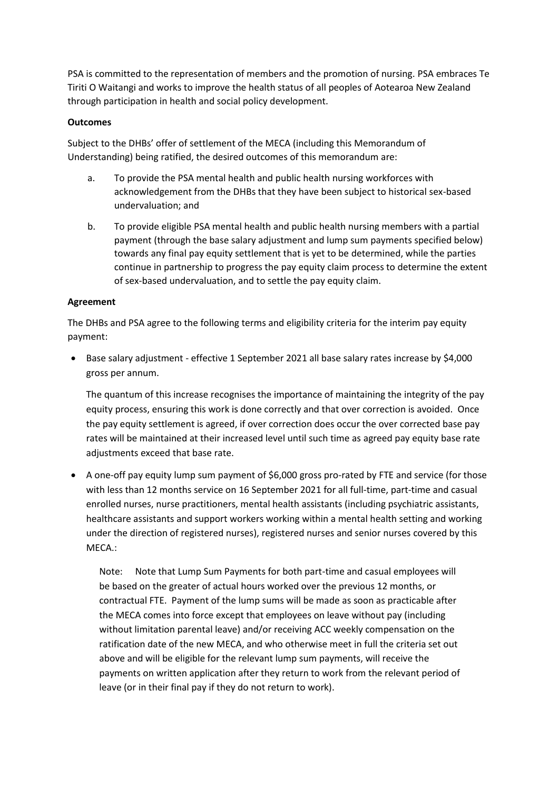PSA is committed to the representation of members and the promotion of nursing. PSA embraces Te Tiriti O Waitangi and works to improve the health status of all peoples of Aotearoa New Zealand through participation in health and social policy development.

## **Outcomes**

Subject to the DHBs' offer of settlement of the MECA (including this Memorandum of Understanding) being ratified, the desired outcomes of this memorandum are:

- a. To provide the PSA mental health and public health nursing workforces with acknowledgement from the DHBs that they have been subject to historical sex-based undervaluation; and
- b. To provide eligible PSA mental health and public health nursing members with a partial payment (through the base salary adjustment and lump sum payments specified below) towards any final pay equity settlement that is yet to be determined, while the parties continue in partnership to progress the pay equity claim process to determine the extent of sex-based undervaluation, and to settle the pay equity claim.

## **Agreement**

The DHBs and PSA agree to the following terms and eligibility criteria for the interim pay equity payment:

• Base salary adjustment - effective 1 September 2021 all base salary rates increase by \$4,000 gross per annum.

The quantum of this increase recognises the importance of maintaining the integrity of the pay equity process, ensuring this work is done correctly and that over correction is avoided. Once the pay equity settlement is agreed, if over correction does occur the over corrected base pay rates will be maintained at their increased level until such time as agreed pay equity base rate adjustments exceed that base rate.

• A one-off pay equity lump sum payment of \$6,000 gross pro-rated by FTE and service (for those with less than 12 months service on 16 September 2021 for all full-time, part-time and casual enrolled nurses, nurse practitioners, mental health assistants (including psychiatric assistants, healthcare assistants and support workers working within a mental health setting and working under the direction of registered nurses), registered nurses and senior nurses covered by this MECA.:

Note: Note that Lump Sum Payments for both part-time and casual employees will be based on the greater of actual hours worked over the previous 12 months, or contractual FTE. Payment of the lump sums will be made as soon as practicable after the MECA comes into force except that employees on leave without pay (including without limitation parental leave) and/or receiving ACC weekly compensation on the ratification date of the new MECA, and who otherwise meet in full the criteria set out above and will be eligible for the relevant lump sum payments, will receive the payments on written application after they return to work from the relevant period of leave (or in their final pay if they do not return to work).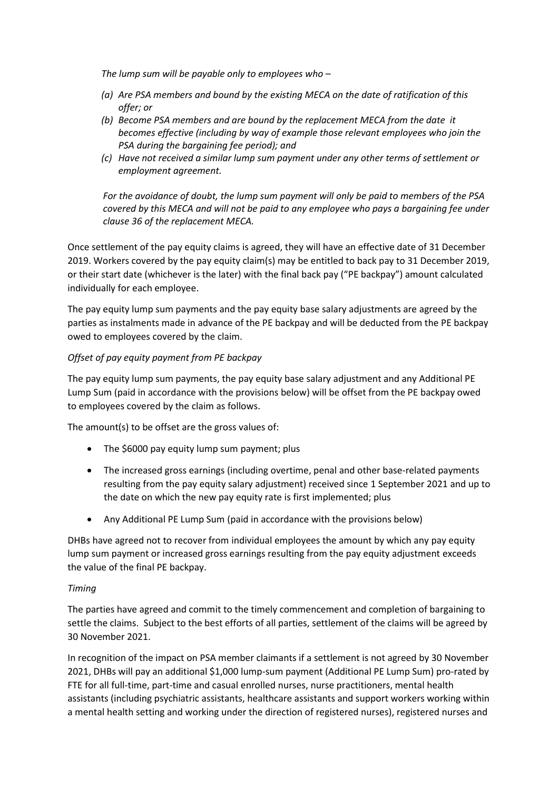*The lump sum will be payable only to employees who –*

- *(a) Are PSA members and bound by the existing MECA on the date of ratification of this offer; or*
- *(b) Become PSA members and are bound by the replacement MECA from the date it becomes effective (including by way of example those relevant employees who join the PSA during the bargaining fee period); and*
- *(c) Have not received a similar lump sum payment under any other terms of settlement or employment agreement.*

*For the avoidance of doubt, the lump sum payment will only be paid to members of the PSA covered by this MECA and will not be paid to any employee who pays a bargaining fee under clause 36 of the replacement MECA.*

Once settlement of the pay equity claims is agreed, they will have an effective date of 31 December 2019. Workers covered by the pay equity claim(s) may be entitled to back pay to 31 December 2019, or their start date (whichever is the later) with the final back pay ("PE backpay") amount calculated individually for each employee.

The pay equity lump sum payments and the pay equity base salary adjustments are agreed by the parties as instalments made in advance of the PE backpay and will be deducted from the PE backpay owed to employees covered by the claim.

## *Offset of pay equity payment from PE backpay*

The pay equity lump sum payments, the pay equity base salary adjustment and any Additional PE Lump Sum (paid in accordance with the provisions below) will be offset from the PE backpay owed to employees covered by the claim as follows.

The amount(s) to be offset are the gross values of:

- The \$6000 pay equity lump sum payment; plus
- The increased gross earnings (including overtime, penal and other base-related payments resulting from the pay equity salary adjustment) received since 1 September 2021 and up to the date on which the new pay equity rate is first implemented; plus
- Any Additional PE Lump Sum (paid in accordance with the provisions below)

DHBs have agreed not to recover from individual employees the amount by which any pay equity lump sum payment or increased gross earnings resulting from the pay equity adjustment exceeds the value of the final PE backpay.

## *Timing*

The parties have agreed and commit to the timely commencement and completion of bargaining to settle the claims. Subject to the best efforts of all parties, settlement of the claims will be agreed by 30 November 2021.

In recognition of the impact on PSA member claimants if a settlement is not agreed by 30 November 2021, DHBs will pay an additional \$1,000 lump-sum payment (Additional PE Lump Sum) pro-rated by FTE for all full-time, part-time and casual enrolled nurses, nurse practitioners, mental health assistants (including psychiatric assistants, healthcare assistants and support workers working within a mental health setting and working under the direction of registered nurses), registered nurses and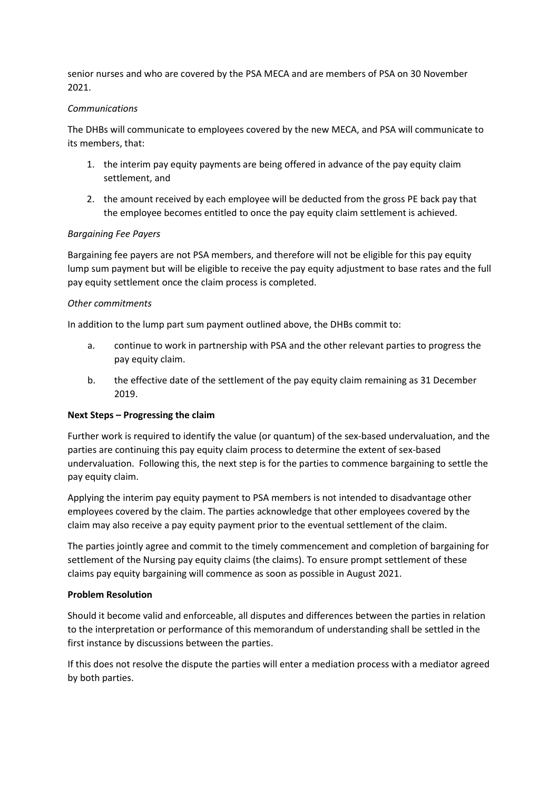senior nurses and who are covered by the PSA MECA and are members of PSA on 30 November 2021.

## *Communications*

The DHBs will communicate to employees covered by the new MECA, and PSA will communicate to its members, that:

- 1. the interim pay equity payments are being offered in advance of the pay equity claim settlement, and
- 2. the amount received by each employee will be deducted from the gross PE back pay that the employee becomes entitled to once the pay equity claim settlement is achieved.

## *Bargaining Fee Payers*

Bargaining fee payers are not PSA members, and therefore will not be eligible for this pay equity lump sum payment but will be eligible to receive the pay equity adjustment to base rates and the full pay equity settlement once the claim process is completed.

#### *Other commitments*

In addition to the lump part sum payment outlined above, the DHBs commit to:

- a. continue to work in partnership with PSA and the other relevant parties to progress the pay equity claim.
- b. the effective date of the settlement of the pay equity claim remaining as 31 December 2019.

#### **Next Steps – Progressing the claim**

Further work is required to identify the value (or quantum) of the sex-based undervaluation, and the parties are continuing this pay equity claim process to determine the extent of sex-based undervaluation. Following this, the next step is for the parties to commence bargaining to settle the pay equity claim.

Applying the interim pay equity payment to PSA members is not intended to disadvantage other employees covered by the claim. The parties acknowledge that other employees covered by the claim may also receive a pay equity payment prior to the eventual settlement of the claim.

The parties jointly agree and commit to the timely commencement and completion of bargaining for settlement of the Nursing pay equity claims (the claims). To ensure prompt settlement of these claims pay equity bargaining will commence as soon as possible in August 2021.

#### **Problem Resolution**

Should it become valid and enforceable, all disputes and differences between the parties in relation to the interpretation or performance of this memorandum of understanding shall be settled in the first instance by discussions between the parties.

If this does not resolve the dispute the parties will enter a mediation process with a mediator agreed by both parties.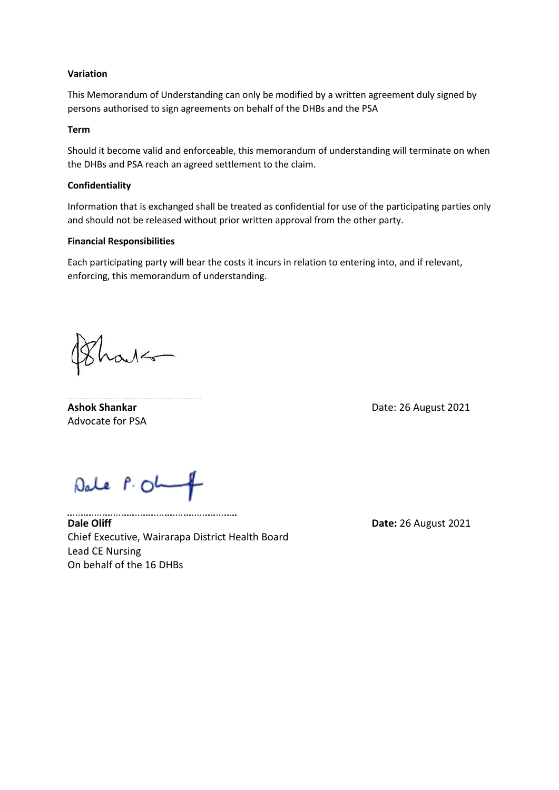#### **Variation**

This Memorandum of Understanding can only be modified by a written agreement duly signed by persons authorised to sign agreements on behalf of the DHBs and the PSA

#### **Term**

Should it become valid and enforceable, this memorandum of understanding will terminate on when the DHBs and PSA reach an agreed settlement to the claim.

#### **Confidentiality**

Information that is exchanged shall be treated as confidential for use of the participating parties only and should not be released without prior written approval from the other party.

#### **Financial Responsibilities**

Each participating party will bear the costs it incurs in relation to entering into, and if relevant, enforcing, this memorandum of understanding.

 $ad4$ 

**Ashok Shankar** Date: 26 August 2021 Advocate for PSA

Dale P. Oh

**Dale Oliff Date:** 26 August 2021 Chief Executive, Wairarapa District Health Board Lead CE Nursing On behalf of the 16 DHBs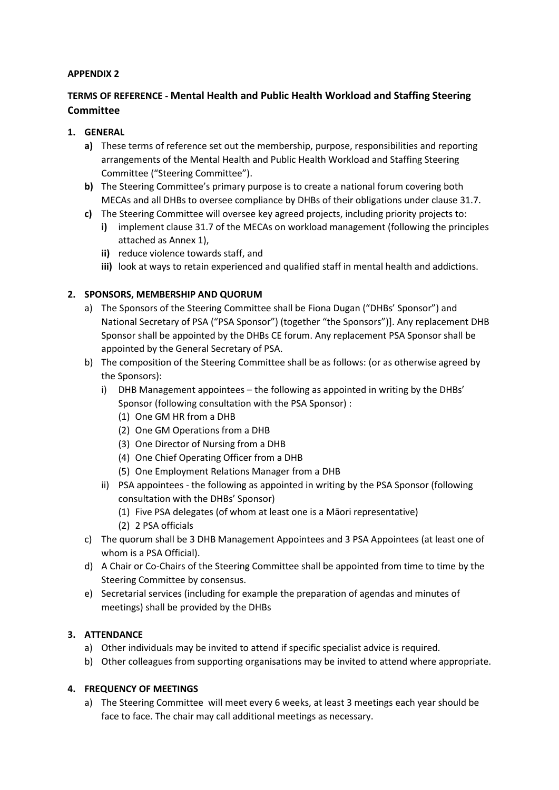## **APPENDIX 2**

# **TERMS OF REFERENCE - Mental Health and Public Health Workload and Staffing Steering Committee**

## **1. GENERAL**

- **a)** These terms of reference set out the membership, purpose, responsibilities and reporting arrangements of the Mental Health and Public Health Workload and Staffing Steering Committee ("Steering Committee").
- **b)** The Steering Committee's primary purpose is to create a national forum covering both MECAs and all DHBs to oversee compliance by DHBs of their obligations under clause 31.7.
- **c)** The Steering Committee will oversee key agreed projects, including priority projects to:
	- **i)** implement clause 31.7 of the MECAs on workload management (following the principles attached as Annex 1),
	- **ii)** reduce violence towards staff, and
	- **iii)** look at ways to retain experienced and qualified staff in mental health and addictions.

## **2. SPONSORS, MEMBERSHIP AND QUORUM**

- a) The Sponsors of the Steering Committee shall be Fiona Dugan ("DHBs' Sponsor") and National Secretary of PSA ("PSA Sponsor") (together "the Sponsors")]. Any replacement DHB Sponsor shall be appointed by the DHBs CE forum. Any replacement PSA Sponsor shall be appointed by the General Secretary of PSA.
- b) The composition of the Steering Committee shall be as follows: (or as otherwise agreed by the Sponsors):
	- i) DHB Management appointees the following as appointed in writing by the DHBs' Sponsor (following consultation with the PSA Sponsor) :
		- (1) One GM HR from a DHB
		- (2) One GM Operations from a DHB
		- (3) One Director of Nursing from a DHB
		- (4) One Chief Operating Officer from a DHB
		- (5) One Employment Relations Manager from a DHB
	- ii) PSA appointees the following as appointed in writing by the PSA Sponsor (following consultation with the DHBs' Sponsor)
		- (1) Five PSA delegates (of whom at least one is a Māori representative)
		- (2) 2 PSA officials
- c) The quorum shall be 3 DHB Management Appointees and 3 PSA Appointees (at least one of whom is a PSA Official).
- d) A Chair or Co-Chairs of the Steering Committee shall be appointed from time to time by the Steering Committee by consensus.
- e) Secretarial services (including for example the preparation of agendas and minutes of meetings) shall be provided by the DHBs

## **3. ATTENDANCE**

- a) Other individuals may be invited to attend if specific specialist advice is required.
- b) Other colleagues from supporting organisations may be invited to attend where appropriate.

## **4. FREQUENCY OF MEETINGS**

a) The Steering Committee will meet every 6 weeks, at least 3 meetings each year should be face to face. The chair may call additional meetings as necessary.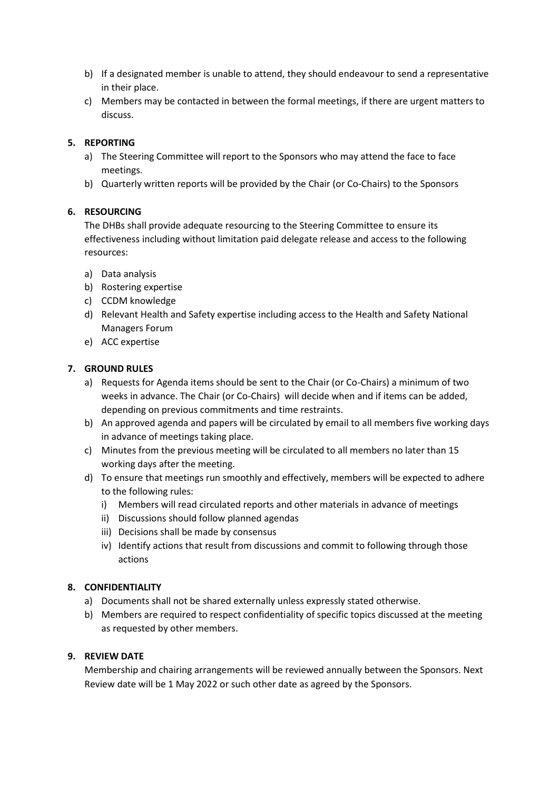- b) If a designated member is unable to attend, they should endeavour to send a representative in their place.
- c) Members may be contacted in between the formal meetings, if there are urgent matters to discuss.

## **5. REPORTING**

- a) The Steering Committee will report to the Sponsors who may attend the face to face meetings.
- b) Quarterly written reports will be provided by the Chair (or Co-Chairs) to the Sponsors

## **6. RESOURCING**

The DHBs shall provide adequate resourcing to the Steering Committee to ensure its effectiveness including without limitation paid delegate release and access to the following resources:

- a) Data analysis
- b) Rostering expertise
- c) CCDM knowledge
- d) Relevant Health and Safety expertise including access to the Health and Safety National Managers Forum
- e) ACC expertise

## **7. GROUND RULES**

- a) Requests for Agenda items should be sent to the Chair (or Co-Chairs) a minimum of two weeks in advance. The Chair (or Co-Chairs) will decide when and if items can be added, depending on previous commitments and time restraints.
- b) An approved agenda and papers will be circulated by email to all members five working days in advance of meetings taking place.
- c) Minutes from the previous meeting will be circulated to all members no later than 15 working days after the meeting.
- d) To ensure that meetings run smoothly and effectively, members will be expected to adhere to the following rules:
	- i) Members will read circulated reports and other materials in advance of meetings
	- ii) Discussions should follow planned agendas
	- iii) Decisions shall be made by consensus
	- iv) Identify actions that result from discussions and commit to following through those actions

#### **8. CONFIDENTIALITY**

- a) Documents shall not be shared externally unless expressly stated otherwise.
- b) Members are required to respect confidentiality of specific topics discussed at the meeting as requested by other members.

#### **9. REVIEW DATE**

Membership and chairing arrangements will be reviewed annually between the Sponsors. Next Review date will be 1 May 2022 or such other date as agreed by the Sponsors.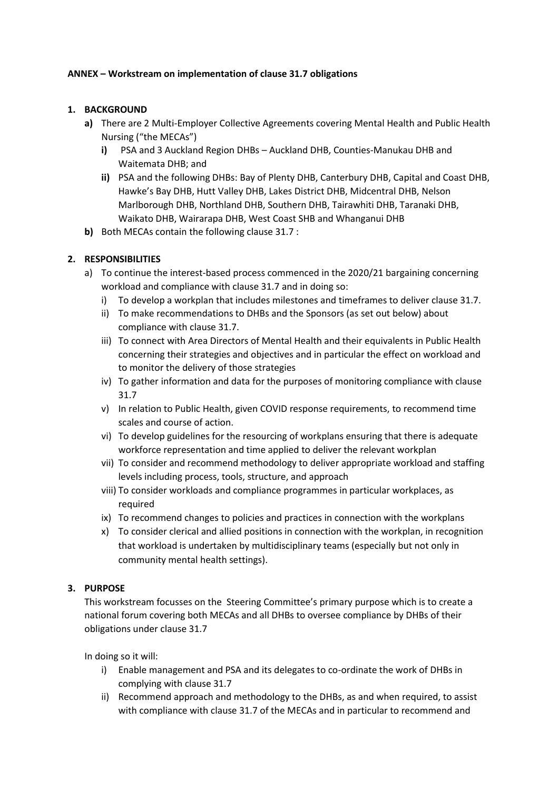## **ANNEX – Workstream on implementation of clause 31.7 obligations**

## **1. BACKGROUND**

- **a)** There are 2 Multi-Employer Collective Agreements covering Mental Health and Public Health Nursing ("the MECAs")
	- **i)** PSA and 3 Auckland Region DHBs Auckland DHB, Counties-Manukau DHB and Waitemata DHB; and
	- **ii)** PSA and the following DHBs: Bay of Plenty DHB, Canterbury DHB, Capital and Coast DHB, Hawke's Bay DHB, Hutt Valley DHB, Lakes District DHB, Midcentral DHB, Nelson Marlborough DHB, Northland DHB, Southern DHB, Tairawhiti DHB, Taranaki DHB, Waikato DHB, Wairarapa DHB, West Coast SHB and Whanganui DHB
- **b)** Both MECAs contain the following clause 31.7 :

## **2. RESPONSIBILITIES**

- a) To continue the interest-based process commenced in the 2020/21 bargaining concerning workload and compliance with clause 31.7 and in doing so:
	- i) To develop a workplan that includes milestones and timeframes to deliver clause 31.7.
	- ii) To make recommendations to DHBs and the Sponsors (as set out below) about compliance with clause 31.7.
	- iii) To connect with Area Directors of Mental Health and their equivalents in Public Health concerning their strategies and objectives and in particular the effect on workload and to monitor the delivery of those strategies
	- iv) To gather information and data for the purposes of monitoring compliance with clause 31.7
	- v) In relation to Public Health, given COVID response requirements, to recommend time scales and course of action.
	- vi) To develop guidelines for the resourcing of workplans ensuring that there is adequate workforce representation and time applied to deliver the relevant workplan
	- vii) To consider and recommend methodology to deliver appropriate workload and staffing levels including process, tools, structure, and approach
	- viii) To consider workloads and compliance programmes in particular workplaces, as required
	- ix) To recommend changes to policies and practices in connection with the workplans
	- x) To consider clerical and allied positions in connection with the workplan, in recognition that workload is undertaken by multidisciplinary teams (especially but not only in community mental health settings).

#### **3. PURPOSE**

This workstream focusses on the Steering Committee's primary purpose which is to create a national forum covering both MECAs and all DHBs to oversee compliance by DHBs of their obligations under clause 31.7

In doing so it will:

- i) Enable management and PSA and its delegates to co-ordinate the work of DHBs in complying with clause 31.7
- ii) Recommend approach and methodology to the DHBs, as and when required, to assist with compliance with clause 31.7 of the MECAs and in particular to recommend and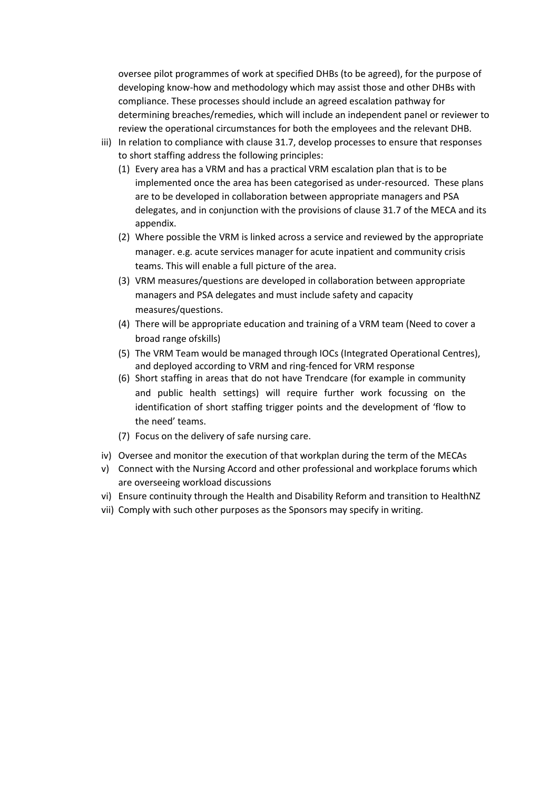oversee pilot programmes of work at specified DHBs (to be agreed), for the purpose of developing know-how and methodology which may assist those and other DHBs with compliance. These processes should include an agreed escalation pathway for determining breaches/remedies, which will include an independent panel or reviewer to review the operational circumstances for both the employees and the relevant DHB.

- iii) In relation to compliance with clause 31.7, develop processes to ensure that responses to short staffing address the following principles:
	- (1) Every area has a VRM and has a practical VRM escalation plan that is to be implemented once the area has been categorised as under-resourced. These plans are to be developed in collaboration between appropriate managers and PSA delegates, and in conjunction with the provisions of clause 31.7 of the MECA and its appendix.
	- (2) Where possible the VRM is linked across a service and reviewed by the appropriate manager. e.g. acute services manager for acute inpatient and community crisis teams. This will enable a full picture of the area.
	- (3) VRM measures/questions are developed in collaboration between appropriate managers and PSA delegates and must include safety and capacity measures/questions.
	- (4) There will be appropriate education and training of a VRM team (Need to cover a broad range ofskills)
	- (5) The VRM Team would be managed through IOCs (Integrated Operational Centres), and deployed according to VRM and ring-fenced for VRM response
	- (6) Short staffing in areas that do not have Trendcare (for example in community and public health settings) will require further work focussing on the identification of short staffing trigger points and the development of 'flow to the need' teams.
	- (7) Focus on the delivery of safe nursing care.
- iv) Oversee and monitor the execution of that workplan during the term of the MECAs
- v) Connect with the Nursing Accord and other professional and workplace forums which are overseeing workload discussions
- vi) Ensure continuity through the Health and Disability Reform and transition to HealthNZ
- vii) Comply with such other purposes as the Sponsors may specify in writing.